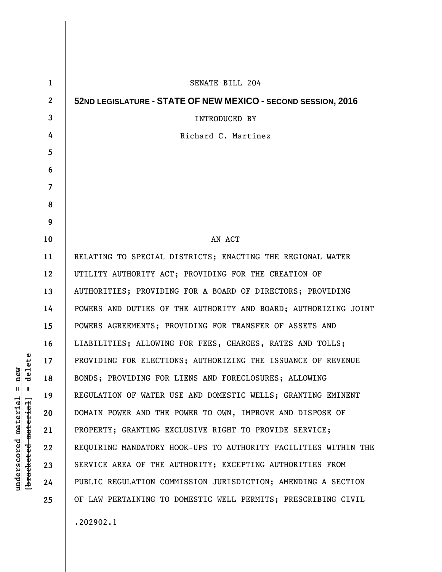| $\mathbf{1}$   | SENATE BILL 204                                                 |
|----------------|-----------------------------------------------------------------|
| $\mathbf{2}$   | 52ND LEGISLATURE - STATE OF NEW MEXICO - SECOND SESSION, 2016   |
| 3              | INTRODUCED BY                                                   |
| 4              | Richard C. Martinez                                             |
| 5              |                                                                 |
| 6              |                                                                 |
| $\overline{7}$ |                                                                 |
| 8              |                                                                 |
| 9              |                                                                 |
| 10             | AN ACT                                                          |
| 11             | RELATING TO SPECIAL DISTRICTS; ENACTING THE REGIONAL WATER      |
| 12             | UTILITY AUTHORITY ACT; PROVIDING FOR THE CREATION OF            |
| 13             | AUTHORITIES; PROVIDING FOR A BOARD OF DIRECTORS; PROVIDING      |
| 14             | POWERS AND DUTIES OF THE AUTHORITY AND BOARD; AUTHORIZING JOINT |
| 15             | POWERS AGREEMENTS; PROVIDING FOR TRANSFER OF ASSETS AND         |
| 16             | LIABILITIES; ALLOWING FOR FEES, CHARGES, RATES AND TOLLS;       |
| 17             | PROVIDING FOR ELECTIONS; AUTHORIZING THE ISSUANCE OF REVENUE    |
| 18             | BONDS; PROVIDING FOR LIENS AND FORECLOSURES; ALLOWING           |
| 19             | REGULATION OF WATER USE AND DOMESTIC WELLS; GRANTING EMINENT    |
| 20             | DOMAIN POWER AND THE POWER TO OWN, IMPROVE AND DISPOSE OF       |
| 21             | PROPERTY; GRANTING EXCLUSIVE RIGHT TO PROVIDE SERVICE;          |
| 22             | REQUIRING MANDATORY HOOK-UPS TO AUTHORITY FACILITIES WITHIN THE |
| 23             | SERVICE AREA OF THE AUTHORITY; EXCEPTING AUTHORITIES FROM       |
| 24             | PUBLIC REGULATION COMMISSION JURISDICTION; AMENDING A SECTION   |
| 25             | OF LAW PERTAINING TO DOMESTIC WELL PERMITS; PRESCRIBING CIVIL   |
|                | .202902.1                                                       |

 $[**bracket eted metert et**] = **del et e**$ **[bracketed material] = delete**  $underscored material = new$ **underscored material = new**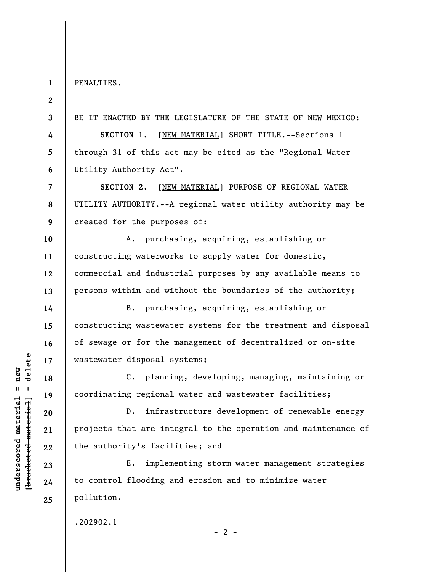PENALTIES.

**1** 

**2** 

**14** 

**15** 

**16** 

**17** 

**18** 

**19** 

**20** 

**21** 

**22** 

**23** 

**24** 

**25** 

**3 4 5 6**  BE IT ENACTED BY THE LEGISLATURE OF THE STATE OF NEW MEXICO: **SECTION 1.** [NEW MATERIAL] SHORT TITLE.--Sections 1 through 31 of this act may be cited as the "Regional Water Utility Authority Act".

**7 8 9 SECTION 2.** [NEW MATERIAL] PURPOSE OF REGIONAL WATER UTILITY AUTHORITY.--A regional water utility authority may be created for the purposes of:

**10 11 12 13**  A. purchasing, acquiring, establishing or constructing waterworks to supply water for domestic, commercial and industrial purposes by any available means to persons within and without the boundaries of the authority;

B. purchasing, acquiring, establishing or constructing wastewater systems for the treatment and disposal of sewage or for the management of decentralized or on-site wastewater disposal systems;

C. planning, developing, managing, maintaining or coordinating regional water and wastewater facilities;

D. infrastructure development of renewable energy projects that are integral to the operation and maintenance of the authority's facilities; and

E. implementing storm water management strategies to control flooding and erosion and to minimize water pollution.

.202902.1

 $\frac{1}{2}$  intereted material = delete **[bracketed material] = delete**  $underscored material = new$ **underscored material = new**

 $- 2 -$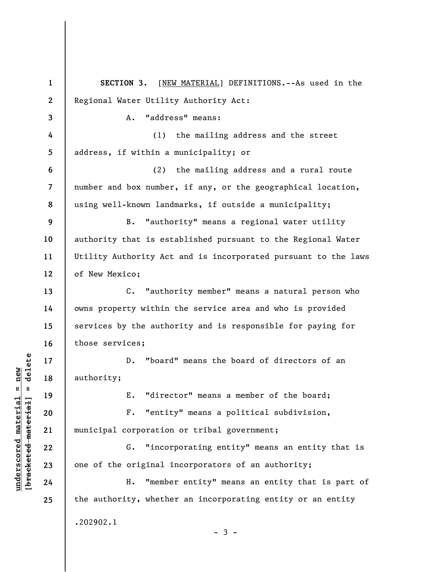**1 2 3 4 5 6 7 8 9 10 11 12 13 14 15 16 17 18 19 20 21 22 23 24 25 SECTION 3.** [NEW MATERIAL] DEFINITIONS.--As used in the Regional Water Utility Authority Act: A. "address" means: (1) the mailing address and the street address, if within a municipality; or (2) the mailing address and a rural route number and box number, if any, or the geographical location, using well-known landmarks, if outside a municipality; B. "authority" means a regional water utility authority that is established pursuant to the Regional Water Utility Authority Act and is incorporated pursuant to the laws of New Mexico; C. "authority member" means a natural person who owns property within the service area and who is provided services by the authority and is responsible for paying for those services; D. "board" means the board of directors of an authority; E. "director" means a member of the board; F. "entity" means a political subdivision, municipal corporation or tribal government; G. "incorporating entity" means an entity that is one of the original incorporators of an authority; H. "member entity" means an entity that is part of the authority, whether an incorporating entity or an entity .202902.1  $-3 -$ 

**underscored material = new [bracketed material] = delete**

 $\frac{1}{2}$  intereted material = delete  $underscored material = new$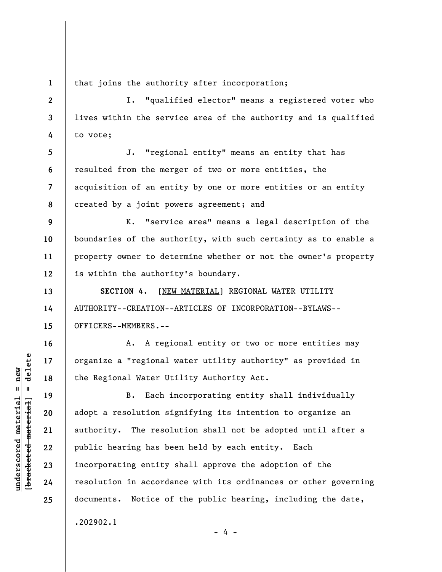that joins the authority after incorporation;

I. "qualified elector" means a registered voter who lives within the service area of the authority and is qualified to vote;

**5 6 7 8**  J. "regional entity" means an entity that has resulted from the merger of two or more entities, the acquisition of an entity by one or more entities or an entity created by a joint powers agreement; and

**9 10 11 12**  K. "service area" means a legal description of the boundaries of the authority, with such certainty as to enable a property owner to determine whether or not the owner's property is within the authority's boundary.

**SECTION 4.** [NEW MATERIAL] REGIONAL WATER UTILITY AUTHORITY--CREATION--ARTICLES OF INCORPORATION--BYLAWS-- OFFICERS--MEMBERS.--

A. A regional entity or two or more entities may organize a "regional water utility authority" as provided in the Regional Water Utility Authority Act.

B. Each incorporating entity shall individually adopt a resolution signifying its intention to organize an authority. The resolution shall not be adopted until after a public hearing has been held by each entity. Each incorporating entity shall approve the adoption of the resolution in accordance with its ordinances or other governing documents. Notice of the public hearing, including the date, .202902.1

 $b$ racketed material] = delete **[bracketed material] = delete**  $underscored material = new$ **underscored material = new**

**1** 

**2** 

**3** 

**4** 

**13** 

**14** 

**15** 

**16** 

**17** 

**18** 

**19** 

**20** 

**21** 

**22** 

**23** 

**24** 

**25** 

- 4 -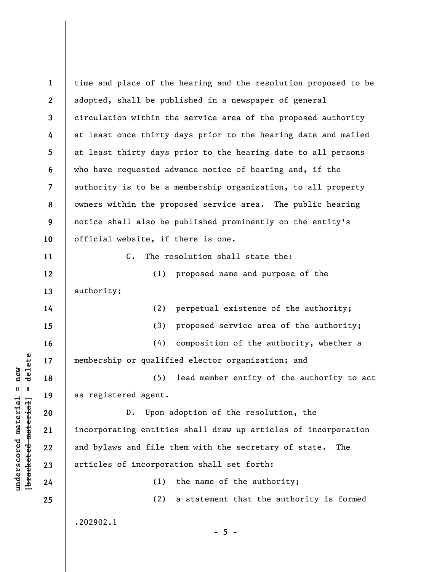| $\mathbf{1}$   | time and place of the hearing and the resolution proposed to be |
|----------------|-----------------------------------------------------------------|
| $\mathbf{2}$   | adopted, shall be published in a newspaper of general           |
| 3              | circulation within the service area of the proposed authority   |
| 4              | at least once thirty days prior to the hearing date and mailed  |
| 5              | at least thirty days prior to the hearing date to all persons   |
| 6              | who have requested advance notice of hearing and, if the        |
| $\overline{7}$ | authority is to be a membership organization, to all property   |
| 8              | owners within the proposed service area. The public hearing     |
| 9              | notice shall also be published prominently on the entity's      |
| 10             | official website, if there is one.                              |
| 11             | The resolution shall state the:<br>$\mathsf{C}$ .               |
| 12             | proposed name and purpose of the<br>(1)                         |
| 13             | authority;                                                      |
| 14             | (2)<br>perpetual existence of the authority;                    |
| 15             | (3)<br>proposed service area of the authority;                  |
| 16             | (4)<br>composition of the authority, whether a                  |
| 17             | membership or qualified elector organization; and               |
| 18             | lead member entity of the authority to act<br>(5)               |
| 19             | as registered agent.                                            |
| 20             | Upon adoption of the resolution, the<br>$D$ .                   |
| 21             | incorporating entities shall draw up articles of incorporation  |
| 22             | and bylaws and file them with the secretary of state.<br>The    |
| 23             | articles of incorporation shall set forth:                      |
| 24             | the name of the authority;<br>(1)                               |
| 25             | (2)<br>a statement that the authority is formed                 |
|                | .202902.1<br>$-5 -$                                             |

**underscored material = new [bracketed material] = delete**

 $[**bracket eted metert et**] = **del et e**$  $underscored material = new$ 

 $\overline{\phantom{a}}$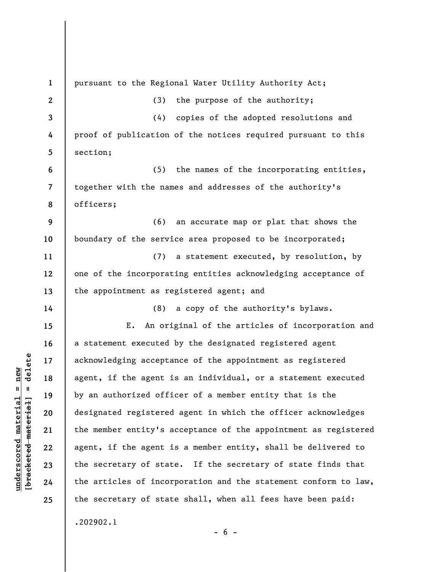**1 2 3 4 5 6 7 8 9 10 11 12 13 14 15 16 17 18 19 20 21 22 23 24 25**  pursuant to the Regional Water Utility Authority Act; (3) the purpose of the authority; (4) copies of the adopted resolutions and proof of publication of the notices required pursuant to this section; (5) the names of the incorporating entities, together with the names and addresses of the authority's officers; (6) an accurate map or plat that shows the boundary of the service area proposed to be incorporated; (7) a statement executed, by resolution, by one of the incorporating entities acknowledging acceptance of the appointment as registered agent; and (8) a copy of the authority's bylaws. E. An original of the articles of incorporation and a statement executed by the designated registered agent acknowledging acceptance of the appointment as registered agent, if the agent is an individual, or a statement executed by an authorized officer of a member entity that is the designated registered agent in which the officer acknowledges the member entity's acceptance of the appointment as registered agent, if the agent is a member entity, shall be delivered to the secretary of state. If the secretary of state finds that the articles of incorporation and the statement conform to law, the secretary of state shall, when all fees have been paid: .202902.1  $- 6 -$ 

**underscored material = new [bracketed material] = delete**

 $\frac{1}{2}$  intereted material = delete  $anderscored material = new$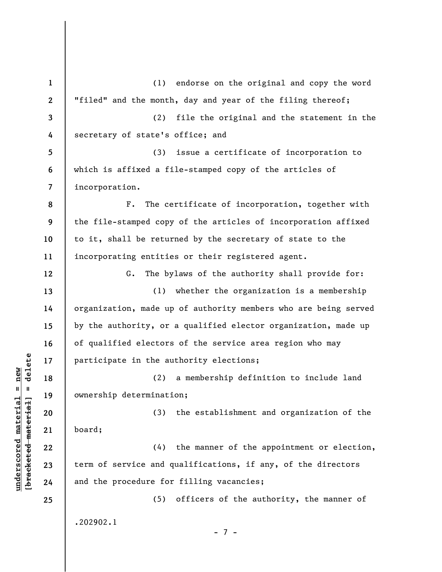**1 2 3 4 5 6 7 8 9 10 11 12 13 14 15 16 17 18 19 20 21 22 23 24 25**  (1) endorse on the original and copy the word "filed" and the month, day and year of the filing thereof; (2) file the original and the statement in the secretary of state's office; and (3) issue a certificate of incorporation to which is affixed a file-stamped copy of the articles of incorporation. F. The certificate of incorporation, together with the file-stamped copy of the articles of incorporation affixed to it, shall be returned by the secretary of state to the incorporating entities or their registered agent. G. The bylaws of the authority shall provide for: (1) whether the organization is a membership organization, made up of authority members who are being served by the authority, or a qualified elector organization, made up of qualified electors of the service area region who may participate in the authority elections; (2) a membership definition to include land ownership determination; (3) the establishment and organization of the board; (4) the manner of the appointment or election, term of service and qualifications, if any, of the directors and the procedure for filling vacancies; (5) officers of the authority, the manner of .202902.1 - 7 -

**underscored material = new [bracketed material] = delete**

 $\frac{1}{2}$  of  $\frac{1}{2}$  and  $\frac{1}{2}$  and  $\frac{1}{2}$  and  $\frac{1}{2}$  and  $\frac{1}{2}$  and  $\frac{1}{2}$  and  $\frac{1}{2}$  and  $\frac{1}{2}$  and  $\frac{1}{2}$  and  $\frac{1}{2}$  and  $\frac{1}{2}$  and  $\frac{1}{2}$  and  $\frac{1}{2}$  and  $\frac{1}{2}$  and  $\frac{1}{2}$  an  $underscored material = new$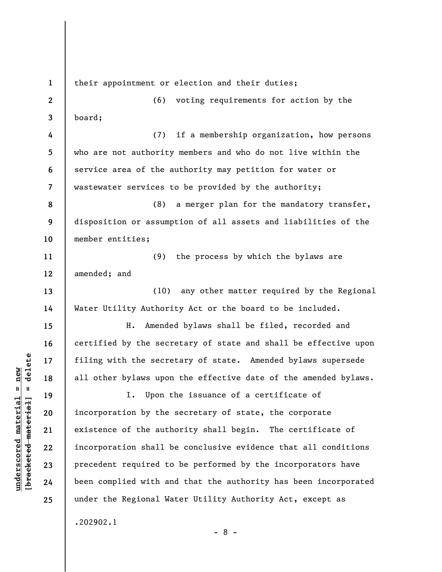**14 15 16**   $\frac{1}{2}$  of  $\frac{1}{2}$  and  $\frac{1}{2}$  and  $\frac{1}{2}$  and  $\frac{1}{2}$  and  $\frac{1}{2}$  and  $\frac{1}{2}$  and  $\frac{1}{2}$  and  $\frac{1}{2}$  and  $\frac{1}{2}$  and  $\frac{1}{2}$  and  $\frac{1}{2}$  and  $\frac{1}{2}$  and  $\frac{1}{2}$  and  $\frac{1}{2}$  and  $\frac{1}{2}$  an **[bracketed material] = delete 17 18 19 20 21 22 23 24** 

**underscored material = new**

 $underscored material = new$ 

**1 2 12 13 25**  their appointment or election and their duties; (6) voting requirements for action by the board; (7) if a membership organization, how persons who are not authority members and who do not live within the service area of the authority may petition for water or wastewater services to be provided by the authority; (8) a merger plan for the mandatory transfer, disposition or assumption of all assets and liabilities of the member entities; (9) the process by which the bylaws are amended; and (10) any other matter required by the Regional Water Utility Authority Act or the board to be included. H. Amended bylaws shall be filed, recorded and certified by the secretary of state and shall be effective upon filing with the secretary of state. Amended bylaws supersede all other bylaws upon the effective date of the amended bylaws. I. Upon the issuance of a certificate of incorporation by the secretary of state, the corporate existence of the authority shall begin. The certificate of incorporation shall be conclusive evidence that all conditions precedent required to be performed by the incorporators have been complied with and that the authority has been incorporated under the Regional Water Utility Authority Act, except as .202902.1

- 8 -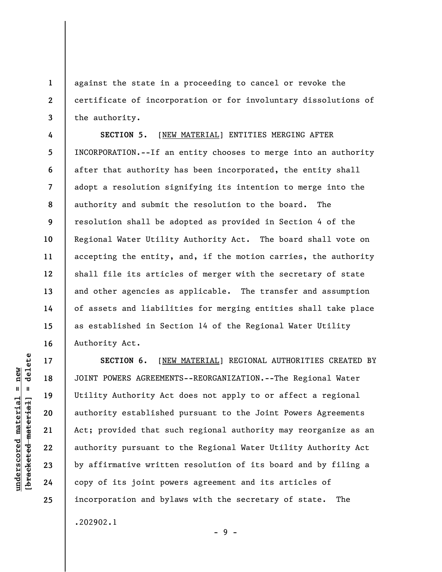against the state in a proceeding to cancel or revoke the certificate of incorporation or for involuntary dissolutions of the authority.

**4 5 6 7 8 9 10 11 12 13 14 15 16 SECTION 5.** [NEW MATERIAL] ENTITIES MERGING AFTER INCORPORATION.--If an entity chooses to merge into an authority after that authority has been incorporated, the entity shall adopt a resolution signifying its intention to merge into the authority and submit the resolution to the board. The resolution shall be adopted as provided in Section 4 of the Regional Water Utility Authority Act. The board shall vote on accepting the entity, and, if the motion carries, the authority shall file its articles of merger with the secretary of state and other agencies as applicable. The transfer and assumption of assets and liabilities for merging entities shall take place as established in Section 14 of the Regional Water Utility Authority Act.

**SECTION 6.** [NEW MATERIAL] REGIONAL AUTHORITIES CREATED BY JOINT POWERS AGREEMENTS--REORGANIZATION.--The Regional Water Utility Authority Act does not apply to or affect a regional authority established pursuant to the Joint Powers Agreements Act; provided that such regional authority may reorganize as an authority pursuant to the Regional Water Utility Authority Act by affirmative written resolution of its board and by filing a copy of its joint powers agreement and its articles of incorporation and bylaws with the secretary of state. The .202902.1

**17** 

**18** 

**19** 

**20** 

**21** 

**22** 

**23** 

**24** 

**25** 

**1** 

**2** 

**3** 

- 9 -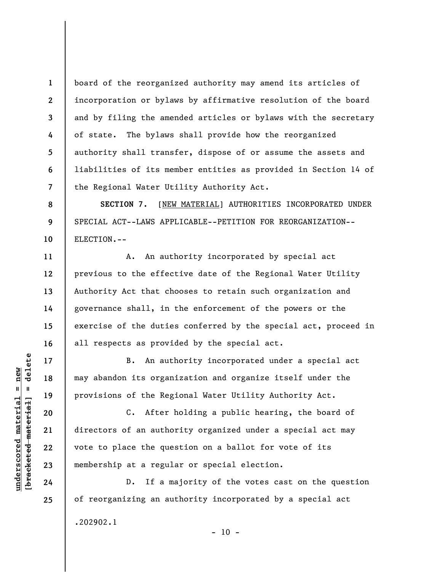**1 2 3 4 5 6 7**  board of the reorganized authority may amend its articles of incorporation or bylaws by affirmative resolution of the board and by filing the amended articles or bylaws with the secretary of state. The bylaws shall provide how the reorganized authority shall transfer, dispose of or assume the assets and liabilities of its member entities as provided in Section 14 of the Regional Water Utility Authority Act.

**SECTION 7.** [NEW MATERIAL] AUTHORITIES INCORPORATED UNDER SPECIAL ACT--LAWS APPLICABLE--PETITION FOR REORGANIZATION-- ELECTION.--

A. An authority incorporated by special act previous to the effective date of the Regional Water Utility Authority Act that chooses to retain such organization and governance shall, in the enforcement of the powers or the exercise of the duties conferred by the special act, proceed in all respects as provided by the special act.

B. An authority incorporated under a special act may abandon its organization and organize itself under the provisions of the Regional Water Utility Authority Act.

C. After holding a public hearing, the board of directors of an authority organized under a special act may vote to place the question on a ballot for vote of its membership at a regular or special election.

D. If a majority of the votes cast on the question of reorganizing an authority incorporated by a special act .202902.1  $- 10 -$ 

 $\frac{1}{2}$  of  $\frac{1}{2}$  and  $\frac{1}{2}$  and  $\frac{1}{2}$  and  $\frac{1}{2}$  and  $\frac{1}{2}$  and  $\frac{1}{2}$  and  $\frac{1}{2}$  and  $\frac{1}{2}$  and  $\frac{1}{2}$  and  $\frac{1}{2}$  and  $\frac{1}{2}$  and  $\frac{1}{2}$  and  $\frac{1}{2}$  and  $\frac{1}{2}$  and  $\frac{1}{2}$  an **[bracketed material] = delete**  $underscored material = new$ **underscored material = new**

**24 25** 

**8** 

**9** 

**10** 

**11** 

**12** 

**13** 

**14** 

**15** 

**16** 

**17** 

**18** 

**19** 

**20** 

**21** 

**22**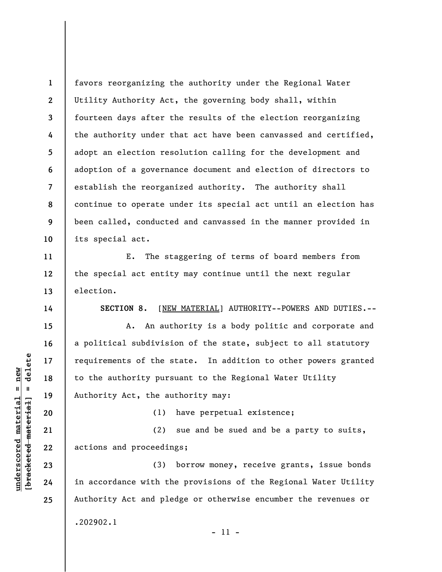**1 2 3 4 5 6 7 8 9 10**  favors reorganizing the authority under the Regional Water Utility Authority Act, the governing body shall, within fourteen days after the results of the election reorganizing the authority under that act have been canvassed and certified, adopt an election resolution calling for the development and adoption of a governance document and election of directors to establish the reorganized authority. The authority shall continue to operate under its special act until an election has been called, conducted and canvassed in the manner provided in its special act.

E. The staggering of terms of board members from the special act entity may continue until the next regular election.

**SECTION 8.** [NEW MATERIAL] AUTHORITY--POWERS AND DUTIES.--

A. An authority is a body politic and corporate and a political subdivision of the state, subject to all statutory requirements of the state. In addition to other powers granted to the authority pursuant to the Regional Water Utility Authority Act, the authority may:

(1) have perpetual existence;

(2) sue and be sued and be a party to suits, actions and proceedings;

(3) borrow money, receive grants, issue bonds in accordance with the provisions of the Regional Water Utility Authority Act and pledge or otherwise encumber the revenues or .202902.1

- 11 -

 $\frac{1}{2}$  of  $\frac{1}{2}$  and  $\frac{1}{2}$  and  $\frac{1}{2}$  and  $\frac{1}{2}$  and  $\frac{1}{2}$  and  $\frac{1}{2}$  and  $\frac{1}{2}$  and  $\frac{1}{2}$  and  $\frac{1}{2}$  and  $\frac{1}{2}$  and  $\frac{1}{2}$  and  $\frac{1}{2}$  and  $\frac{1}{2}$  and  $\frac{1}{2}$  and  $\frac{1}{2}$  an **[bracketed material] = delete**  $underscored material = new$ **underscored material = new**

**11** 

**12** 

**13** 

**14** 

**15** 

**16** 

**17** 

**18** 

**19** 

**20** 

**21** 

**22** 

**23** 

**24**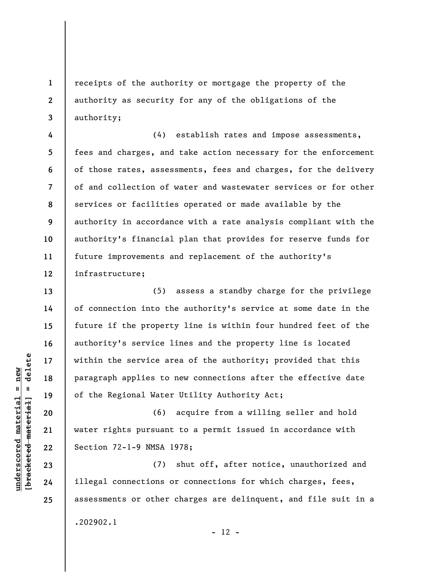receipts of the authority or mortgage the property of the authority as security for any of the obligations of the authority;

**4 5 6 7 8 9 10 11 12**  (4) establish rates and impose assessments, fees and charges, and take action necessary for the enforcement of those rates, assessments, fees and charges, for the delivery of and collection of water and wastewater services or for other services or facilities operated or made available by the authority in accordance with a rate analysis compliant with the authority's financial plan that provides for reserve funds for future improvements and replacement of the authority's infrastructure;

(5) assess a standby charge for the privilege of connection into the authority's service at some date in the future if the property line is within four hundred feet of the authority's service lines and the property line is located within the service area of the authority; provided that this paragraph applies to new connections after the effective date of the Regional Water Utility Authority Act;

(6) acquire from a willing seller and hold water rights pursuant to a permit issued in accordance with Section 72-1-9 NMSA 1978;

(7) shut off, after notice, unauthorized and illegal connections or connections for which charges, fees, assessments or other charges are delinquent, and file suit in a .202902.1

 $\frac{1}{2}$  intereted material = delete **[bracketed material] = delete**  $underscored material = new$ **underscored material = new**

**1** 

**2** 

**3** 

**13** 

**14** 

**15** 

**16** 

**17** 

**18** 

**19** 

**20** 

**21** 

**22** 

**23** 

**24** 

**25** 

 $- 12 -$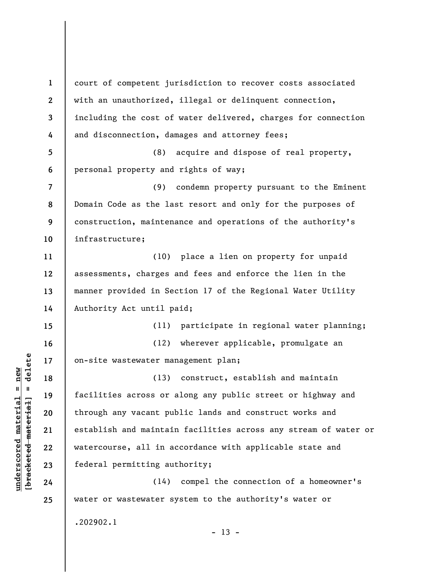**1 2 3 4 5 6 7 8 9 10 11 12 13 14 15 16 17 18 19 20 21 22 23 24 25**  court of competent jurisdiction to recover costs associated with an unauthorized, illegal or delinquent connection, including the cost of water delivered, charges for connection and disconnection, damages and attorney fees; (8) acquire and dispose of real property, personal property and rights of way; (9) condemn property pursuant to the Eminent Domain Code as the last resort and only for the purposes of construction, maintenance and operations of the authority's infrastructure; (10) place a lien on property for unpaid assessments, charges and fees and enforce the lien in the manner provided in Section 17 of the Regional Water Utility Authority Act until paid; (11) participate in regional water planning; (12) wherever applicable, promulgate an on-site wastewater management plan; (13) construct, establish and maintain facilities across or along any public street or highway and through any vacant public lands and construct works and establish and maintain facilities across any stream of water or watercourse, all in accordance with applicable state and federal permitting authority; (14) compel the connection of a homeowner's water or wastewater system to the authority's water or .202902.1

**underscored material = new [bracketed material] = delete**

 $\frac{1}{2}$  intereted material = delete  $underscored material = new$ 

 $- 13 -$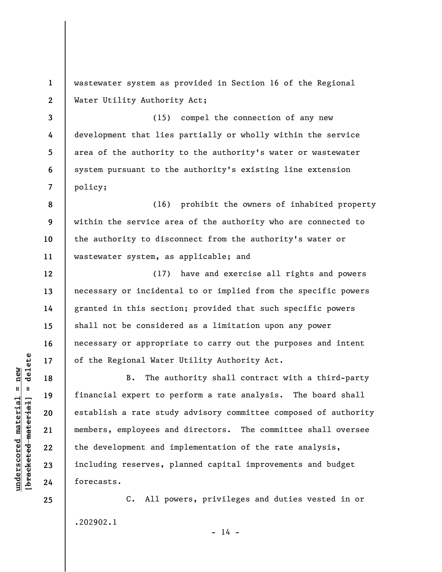**1 2**  wastewater system as provided in Section 16 of the Regional Water Utility Authority Act;

**3 4 5 6 7**  (15) compel the connection of any new development that lies partially or wholly within the service area of the authority to the authority's water or wastewater system pursuant to the authority's existing line extension policy;

**8 9 10 11**  (16) prohibit the owners of inhabited property within the service area of the authority who are connected to the authority to disconnect from the authority's water or wastewater system, as applicable; and

(17) have and exercise all rights and powers necessary or incidental to or implied from the specific powers granted in this section; provided that such specific powers shall not be considered as a limitation upon any power necessary or appropriate to carry out the purposes and intent of the Regional Water Utility Authority Act.

B. The authority shall contract with a third-party financial expert to perform a rate analysis. The board shall establish a rate study advisory committee composed of authority members, employees and directors. The committee shall oversee the development and implementation of the rate analysis, including reserves, planned capital improvements and budget forecasts.

C. All powers, privileges and duties vested in or .202902.1

 $- 14 -$ 

 $\frac{1}{2}$  intereted material = delete **[bracketed material] = delete**  $underscored material = new$ **underscored material = new**

**12** 

**13** 

**14** 

**15** 

**16** 

**17** 

**18** 

**19** 

**20** 

**21** 

**22** 

**23** 

**24**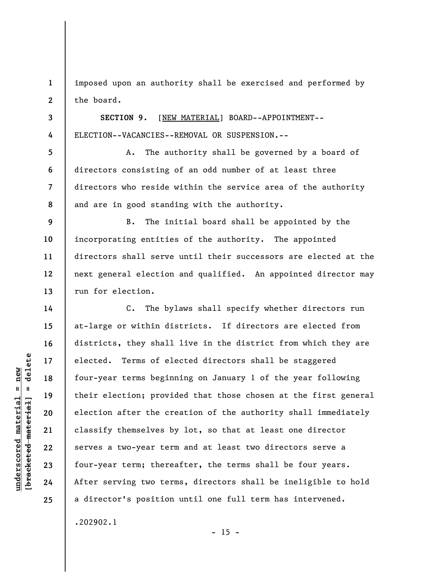**1 2**  imposed upon an authority shall be exercised and performed by the board.

**SECTION 9.** [NEW MATERIAL] BOARD--APPOINTMENT-- ELECTION--VACANCIES--REMOVAL OR SUSPENSION.--

A. The authority shall be governed by a board of directors consisting of an odd number of at least three directors who reside within the service area of the authority and are in good standing with the authority.

**9 10 11 12 13**  B. The initial board shall be appointed by the incorporating entities of the authority. The appointed directors shall serve until their successors are elected at the next general election and qualified. An appointed director may run for election.

C. The bylaws shall specify whether directors run at-large or within districts. If directors are elected from districts, they shall live in the district from which they are elected. Terms of elected directors shall be staggered four-year terms beginning on January 1 of the year following their election; provided that those chosen at the first general election after the creation of the authority shall immediately classify themselves by lot, so that at least one director serves a two-year term and at least two directors serve a four-year term; thereafter, the terms shall be four years. After serving two terms, directors shall be ineligible to hold a director's position until one full term has intervened.

.202902.1

 $- 15 -$ 

 $\frac{1}{2}$  of  $\frac{1}{2}$  and  $\frac{1}{2}$  and  $\frac{1}{2}$  and  $\frac{1}{2}$  and  $\frac{1}{2}$  and  $\frac{1}{2}$  and  $\frac{1}{2}$  and  $\frac{1}{2}$  and  $\frac{1}{2}$  and  $\frac{1}{2}$  and  $\frac{1}{2}$  and  $\frac{1}{2}$  and  $\frac{1}{2}$  and  $\frac{1}{2}$  and  $\frac{1}{2}$  an **[bracketed material] = delete**  $underscored material = new$ **underscored material = new**

**3** 

**4** 

**5** 

**6** 

**7** 

**8** 

**14** 

**15** 

**16** 

**17** 

**18** 

**19** 

**20** 

**21** 

**22** 

**23** 

**24**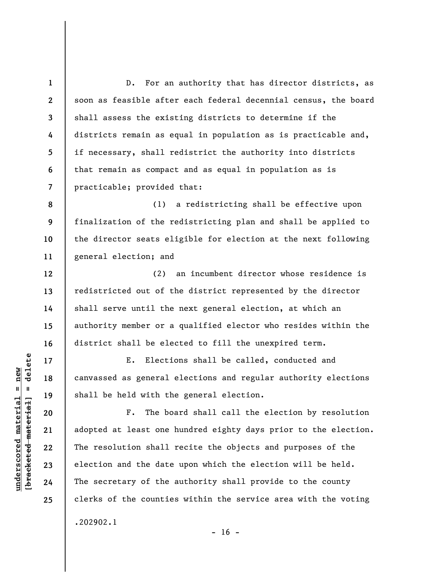**1 2 3 4 5 6 7 8 9 10 11 12 13 14 15 16 17 18 19 20 21 22 23 24 25**  D. For an authority that has director districts, as soon as feasible after each federal decennial census, the board shall assess the existing districts to determine if the districts remain as equal in population as is practicable and, if necessary, shall redistrict the authority into districts that remain as compact and as equal in population as is practicable; provided that: (1) a redistricting shall be effective upon finalization of the redistricting plan and shall be applied to the director seats eligible for election at the next following general election; and (2) an incumbent director whose residence is redistricted out of the district represented by the director shall serve until the next general election, at which an authority member or a qualified elector who resides within the district shall be elected to fill the unexpired term. E. Elections shall be called, conducted and canvassed as general elections and regular authority elections shall be held with the general election. F. The board shall call the election by resolution adopted at least one hundred eighty days prior to the election. The resolution shall recite the objects and purposes of the election and the date upon which the election will be held. The secretary of the authority shall provide to the county clerks of the counties within the service area with the voting .202902.1

 $\frac{1}{2}$  of  $\frac{1}{2}$  and  $\frac{1}{2}$  and  $\frac{1}{2}$  and  $\frac{1}{2}$  and  $\frac{1}{2}$  and  $\frac{1}{2}$  and  $\frac{1}{2}$  and  $\frac{1}{2}$  and  $\frac{1}{2}$  and  $\frac{1}{2}$  and  $\frac{1}{2}$  and  $\frac{1}{2}$  and  $\frac{1}{2}$  and  $\frac{1}{2}$  and  $\frac{1}{2}$  an **[bracketed material] = delete**  $underscored material = new$ **underscored material = new**

 $- 16 -$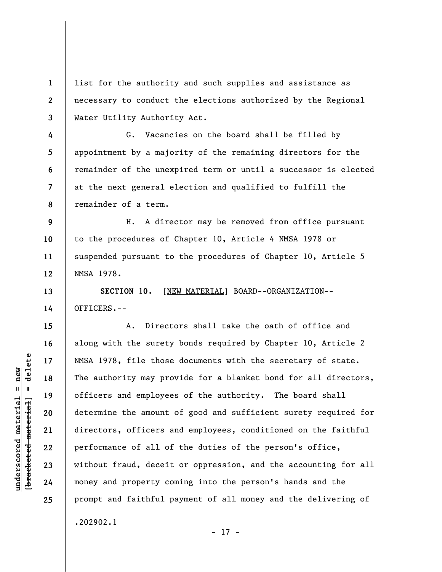list for the authority and such supplies and assistance as necessary to conduct the elections authorized by the Regional Water Utility Authority Act.

G. Vacancies on the board shall be filled by appointment by a majority of the remaining directors for the remainder of the unexpired term or until a successor is elected at the next general election and qualified to fulfill the remainder of a term.

H. A director may be removed from office pursuant to the procedures of Chapter 10, Article 4 NMSA 1978 or suspended pursuant to the procedures of Chapter 10, Article 5 NMSA 1978.

**SECTION 10.** [NEW MATERIAL] BOARD--ORGANIZATION-- OFFICERS.--

A. Directors shall take the oath of office and along with the surety bonds required by Chapter 10, Article 2 NMSA 1978, file those documents with the secretary of state. The authority may provide for a blanket bond for all directors, officers and employees of the authority. The board shall determine the amount of good and sufficient surety required for directors, officers and employees, conditioned on the faithful performance of all of the duties of the person's office, without fraud, deceit or oppression, and the accounting for all money and property coming into the person's hands and the prompt and faithful payment of all money and the delivering of .202902.1

- 17 -

**1** 

**2** 

**3** 

**4** 

**5** 

**6** 

**7** 

**8** 

**9** 

**10** 

**11** 

**12** 

**13** 

**14** 

**15** 

**16** 

**17** 

**18** 

**19** 

**20** 

**21** 

**22** 

**23** 

**24**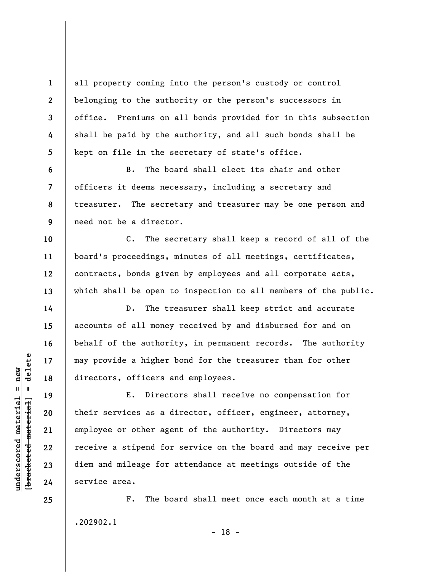all property coming into the person's custody or control belonging to the authority or the person's successors in office. Premiums on all bonds provided for in this subsection shall be paid by the authority, and all such bonds shall be kept on file in the secretary of state's office.

B. The board shall elect its chair and other officers it deems necessary, including a secretary and treasurer. The secretary and treasurer may be one person and need not be a director.

C. The secretary shall keep a record of all of the board's proceedings, minutes of all meetings, certificates, contracts, bonds given by employees and all corporate acts, which shall be open to inspection to all members of the public.

D. The treasurer shall keep strict and accurate accounts of all money received by and disbursed for and on behalf of the authority, in permanent records. The authority may provide a higher bond for the treasurer than for other directors, officers and employees.

E. Directors shall receive no compensation for their services as a director, officer, engineer, attorney, employee or other agent of the authority. Directors may receive a stipend for service on the board and may receive per diem and mileage for attendance at meetings outside of the service area.

F. The board shall meet once each month at a time .202902.1

- 18 -

 $\frac{1}{2}$  of  $\frac{1}{2}$  and  $\frac{1}{2}$  and  $\frac{1}{2}$  and  $\frac{1}{2}$  and  $\frac{1}{2}$  and  $\frac{1}{2}$  and  $\frac{1}{2}$  and  $\frac{1}{2}$  and  $\frac{1}{2}$  and  $\frac{1}{2}$  and  $\frac{1}{2}$  and  $\frac{1}{2}$  and  $\frac{1}{2}$  and  $\frac{1}{2}$  and  $\frac{1}{2}$  an **[bracketed material] = delete**  $underscored material = new$ **underscored material = new**

**1** 

**2** 

**3** 

**4** 

**5** 

**6** 

**7** 

**8** 

**9** 

**10** 

**11** 

**12** 

**13** 

**14** 

**15** 

**16** 

**17** 

**18** 

**19** 

**20** 

**21** 

**22** 

**23** 

**24**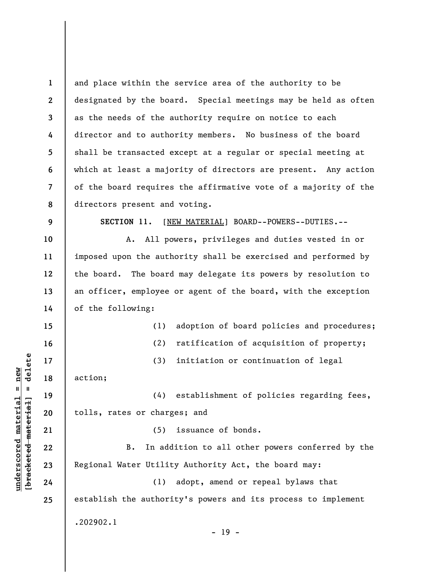**1 2 3 4 5 6 7 8 9 10 11 12 13 14 15 16 17 18 19 20 21 22 23 24 25**  and place within the service area of the authority to be designated by the board. Special meetings may be held as often as the needs of the authority require on notice to each director and to authority members. No business of the board shall be transacted except at a regular or special meeting at which at least a majority of directors are present. Any action of the board requires the affirmative vote of a majority of the directors present and voting. **SECTION 11.** [NEW MATERIAL] BOARD--POWERS--DUTIES.-- A. All powers, privileges and duties vested in or imposed upon the authority shall be exercised and performed by the board. The board may delegate its powers by resolution to an officer, employee or agent of the board, with the exception of the following: (1) adoption of board policies and procedures; (2) ratification of acquisition of property; (3) initiation or continuation of legal action; (4) establishment of policies regarding fees, tolls, rates or charges; and (5) issuance of bonds. B. In addition to all other powers conferred by the Regional Water Utility Authority Act, the board may: (1) adopt, amend or repeal bylaws that establish the authority's powers and its process to implement .202902.1 - 19 -

 $\frac{1}{2}$  intereted material = delete **[bracketed material] = delete**  $underscored material = new$ **underscored material = new**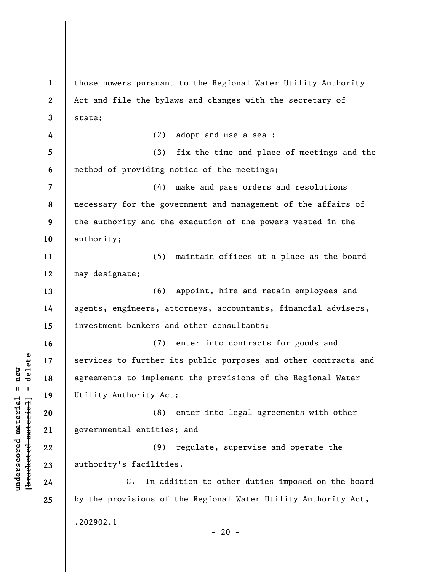**1 2 3 4 5 6 7 8 9 10 11 12 13 14 15 16 17 18 19 20 21 22 23 24 25**  those powers pursuant to the Regional Water Utility Authority Act and file the bylaws and changes with the secretary of state; (2) adopt and use a seal; (3) fix the time and place of meetings and the method of providing notice of the meetings; (4) make and pass orders and resolutions necessary for the government and management of the affairs of the authority and the execution of the powers vested in the authority; (5) maintain offices at a place as the board may designate; (6) appoint, hire and retain employees and agents, engineers, attorneys, accountants, financial advisers, investment bankers and other consultants; (7) enter into contracts for goods and services to further its public purposes and other contracts and agreements to implement the provisions of the Regional Water Utility Authority Act; (8) enter into legal agreements with other governmental entities; and (9) regulate, supervise and operate the authority's facilities. C. In addition to other duties imposed on the board by the provisions of the Regional Water Utility Authority Act, .202902.1  $- 20 -$ 

**underscored material = new [bracketed material] = delete**

 $\frac{1}{2}$  intereted material = delete  $underscored material = new$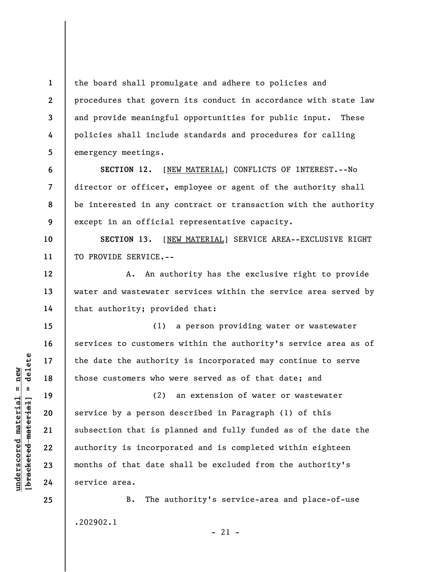the board shall promulgate and adhere to policies and procedures that govern its conduct in accordance with state law and provide meaningful opportunities for public input. These policies shall include standards and procedures for calling emergency meetings.

**SECTION 12.** [NEW MATERIAL] CONFLICTS OF INTEREST.--No director or officer, employee or agent of the authority shall be interested in any contract or transaction with the authority except in an official representative capacity.

**10 11 SECTION 13.** [NEW MATERIAL] SERVICE AREA--EXCLUSIVE RIGHT TO PROVIDE SERVICE.--

A. An authority has the exclusive right to provide water and wastewater services within the service area served by that authority; provided that:

(1) a person providing water or wastewater services to customers within the authority's service area as of the date the authority is incorporated may continue to serve those customers who were served as of that date; and

(2) an extension of water or wastewater service by a person described in Paragraph (1) of this subsection that is planned and fully funded as of the date the authority is incorporated and is completed within eighteen months of that date shall be excluded from the authority's service area.

B. The authority's service-area and place-of-use .202902.1

 $-21 -$ 

 $\frac{1}{2}$  intereted material = delete **[bracketed material] = delete**  $underscored material = new$ **underscored material = new**

**1** 

**2** 

**3** 

**4** 

**5** 

**6** 

**7** 

**8** 

**9** 

**12** 

**13** 

**14** 

**15** 

**16** 

**17** 

**18** 

**19** 

**20** 

**21** 

**22** 

**23** 

**24**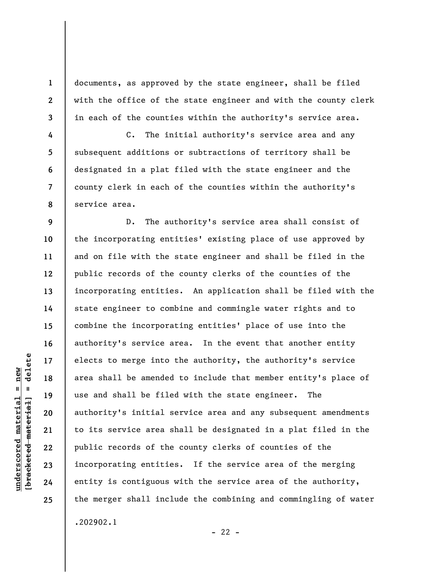documents, as approved by the state engineer, shall be filed with the office of the state engineer and with the county clerk in each of the counties within the authority's service area.

C. The initial authority's service area and any subsequent additions or subtractions of territory shall be designated in a plat filed with the state engineer and the county clerk in each of the counties within the authority's service area.

**9 10 11 12 13 14 15 16 17 18 19 20 22 23 25**  D. The authority's service area shall consist of the incorporating entities' existing place of use approved by and on file with the state engineer and shall be filed in the public records of the county clerks of the counties of the incorporating entities. An application shall be filed with the state engineer to combine and commingle water rights and to combine the incorporating entities' place of use into the authority's service area. In the event that another entity elects to merge into the authority, the authority's service area shall be amended to include that member entity's place of use and shall be filed with the state engineer. The authority's initial service area and any subsequent amendments to its service area shall be designated in a plat filed in the public records of the county clerks of counties of the incorporating entities. If the service area of the merging entity is contiguous with the service area of the authority, the merger shall include the combining and commingling of water .202902.1

 $- 22 -$ 

**21** 

**24** 

**1** 

**2** 

**3** 

**4** 

**5** 

**6** 

**7**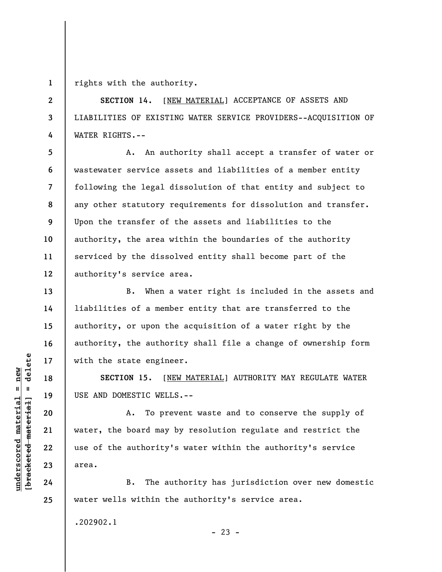**1**  rights with the authority.

**2** 

**3** 

**4** 

**5** 

**6** 

**7** 

**8** 

**9** 

**10** 

**11** 

**12** 

**13** 

**14** 

**15** 

**16** 

**17** 

**18** 

**19** 

**20** 

**21** 

**22** 

**23** 

**24** 

**25** 

**SECTION 14.** [NEW MATERIAL] ACCEPTANCE OF ASSETS AND LIABILITIES OF EXISTING WATER SERVICE PROVIDERS--ACQUISITION OF WATER RIGHTS.--

A. An authority shall accept a transfer of water or wastewater service assets and liabilities of a member entity following the legal dissolution of that entity and subject to any other statutory requirements for dissolution and transfer. Upon the transfer of the assets and liabilities to the authority, the area within the boundaries of the authority serviced by the dissolved entity shall become part of the authority's service area.

B. When a water right is included in the assets and liabilities of a member entity that are transferred to the authority, or upon the acquisition of a water right by the authority, the authority shall file a change of ownership form with the state engineer.

**SECTION 15.** [NEW MATERIAL] AUTHORITY MAY REGULATE WATER USE AND DOMESTIC WELLS.--

A. To prevent waste and to conserve the supply of water, the board may by resolution regulate and restrict the use of the authority's water within the authority's service area.

B. The authority has jurisdiction over new domestic water wells within the authority's service area.

.202902.1

 $- 23 -$ 

 $\frac{1}{2}$  intereted material = delete **[bracketed material] = delete**  $underscored material = new$ **underscored material = new**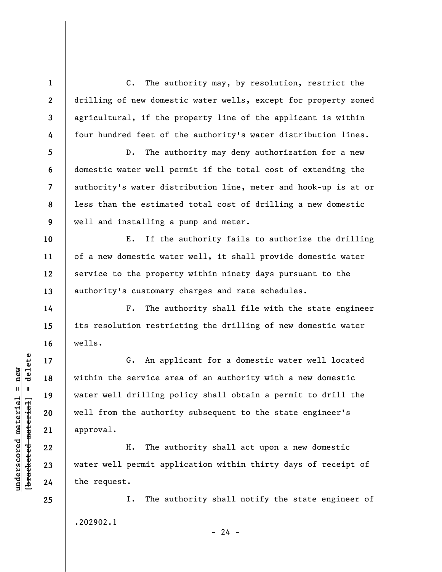C. The authority may, by resolution, restrict the drilling of new domestic water wells, except for property zoned agricultural, if the property line of the applicant is within four hundred feet of the authority's water distribution lines.

D. The authority may deny authorization for a new domestic water well permit if the total cost of extending the authority's water distribution line, meter and hook-up is at or less than the estimated total cost of drilling a new domestic well and installing a pump and meter.

E. If the authority fails to authorize the drilling of a new domestic water well, it shall provide domestic water service to the property within ninety days pursuant to the authority's customary charges and rate schedules.

F. The authority shall file with the state engineer its resolution restricting the drilling of new domestic water wells.

G. An applicant for a domestic water well located within the service area of an authority with a new domestic water well drilling policy shall obtain a permit to drill the well from the authority subsequent to the state engineer's approval.

H. The authority shall act upon a new domestic water well permit application within thirty days of receipt of the request.

I. The authority shall notify the state engineer of .202902.1

 $\frac{1}{2}$  intereted material = delete **[bracketed material] = delete**  $underscored$  material = new **underscored material = new**

**25** 

**1** 

**2** 

**3** 

**4** 

**5** 

**6** 

**7** 

**8** 

**9** 

**10** 

**11** 

**12** 

**13** 

**14** 

**15** 

**16** 

**17** 

**18** 

**19** 

**20** 

**21** 

**22** 

**23**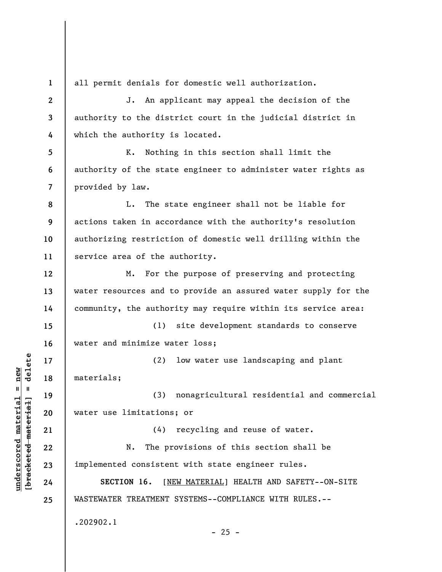**4 5 6 7 8 9 10 11 12 13 14 15 16 17 18 19 20 21 22 23 24 25**  which the authority is located. K. Nothing in this section shall limit the authority of the state engineer to administer water rights as provided by law. service area of the authority. water and minimize water loss; materials; water use limitations; or

L. The state engineer shall not be liable for

authority to the district court in the judicial district in

J. An applicant may appeal the decision of the

all permit denials for domestic well authorization.

actions taken in accordance with the authority's resolution authorizing restriction of domestic well drilling within the

M. For the purpose of preserving and protecting water resources and to provide an assured water supply for the community, the authority may require within its service area:

(1) site development standards to conserve

(2) low water use landscaping and plant

(3) nonagricultural residential and commercial

(4) recycling and reuse of water.

N. The provisions of this section shall be implemented consistent with state engineer rules.

**SECTION 16.** [NEW MATERIAL] HEALTH AND SAFETY--ON-SITE WASTEWATER TREATMENT SYSTEMS--COMPLIANCE WITH RULES.--

.202902.1

**underscored material = new [bracketed material] = delete**

 $\frac{1}{2}$  intereted material = delete  $underscored material = new$ 

**1** 

**2** 

**3** 

 $- 25 -$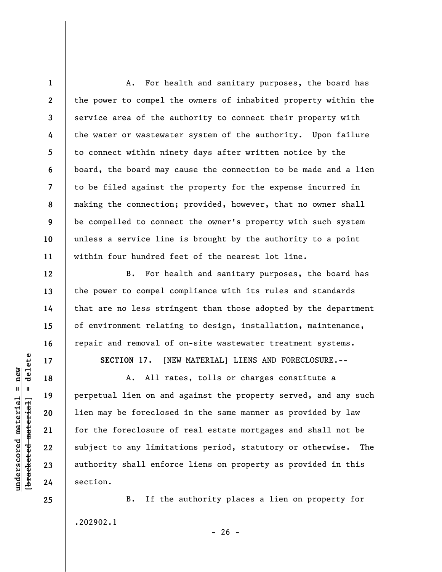A. For health and sanitary purposes, the board has the power to compel the owners of inhabited property within the service area of the authority to connect their property with the water or wastewater system of the authority. Upon failure to connect within ninety days after written notice by the board, the board may cause the connection to be made and a lien to be filed against the property for the expense incurred in making the connection; provided, however, that no owner shall be compelled to connect the owner's property with such system unless a service line is brought by the authority to a point within four hundred feet of the nearest lot line.

B. For health and sanitary purposes, the board has the power to compel compliance with its rules and standards that are no less stringent than those adopted by the department of environment relating to design, installation, maintenance, repair and removal of on-site wastewater treatment systems.

**SECTION 17.** [NEW MATERIAL] LIENS AND FORECLOSURE.--

A. All rates, tolls or charges constitute a perpetual lien on and against the property served, and any such lien may be foreclosed in the same manner as provided by law for the foreclosure of real estate mortgages and shall not be subject to any limitations period, statutory or otherwise. The authority shall enforce liens on property as provided in this section.

B. If the authority places a lien on property for .202902.1

 $- 26 -$ 

**1** 

**2** 

**3** 

**4** 

**5** 

**6** 

**7** 

**8** 

**9** 

**10** 

**11** 

**12** 

**13** 

**14** 

**15** 

**16** 

**17** 

**18** 

**19** 

**20** 

**21** 

**22** 

**23** 

**24**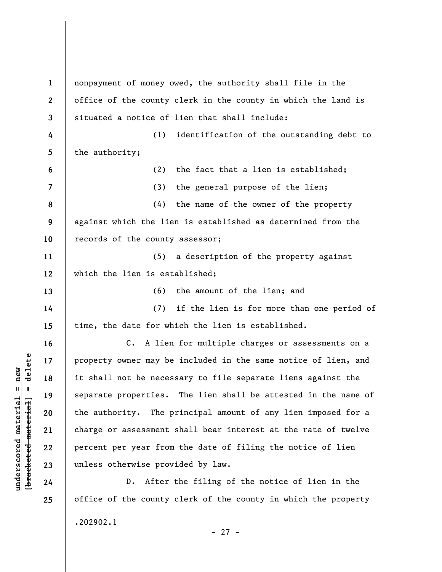**1 2 3 4 5 6 7 8 9 10 11 12 13 14 15 16 17 18 19 20 21 22 23 24 25**  nonpayment of money owed, the authority shall file in the office of the county clerk in the county in which the land is situated a notice of lien that shall include: (1) identification of the outstanding debt to the authority; (2) the fact that a lien is established; (3) the general purpose of the lien; (4) the name of the owner of the property against which the lien is established as determined from the records of the county assessor; (5) a description of the property against which the lien is established; (6) the amount of the lien; and (7) if the lien is for more than one period of time, the date for which the lien is established. C. A lien for multiple charges or assessments on a property owner may be included in the same notice of lien, and it shall not be necessary to file separate liens against the separate properties. The lien shall be attested in the name of the authority. The principal amount of any lien imposed for a charge or assessment shall bear interest at the rate of twelve percent per year from the date of filing the notice of lien unless otherwise provided by law. D. After the filing of the notice of lien in the office of the county clerk of the county in which the property

- 27 -

 $\frac{1}{2}$  of  $\frac{1}{2}$  and  $\frac{1}{2}$  and  $\frac{1}{2}$  and  $\frac{1}{2}$  and  $\frac{1}{2}$  and  $\frac{1}{2}$  and  $\frac{1}{2}$  and  $\frac{1}{2}$  and  $\frac{1}{2}$  and  $\frac{1}{2}$  and  $\frac{1}{2}$  and  $\frac{1}{2}$  and  $\frac{1}{2}$  and  $\frac{1}{2}$  and  $\frac{1}{2}$  an **[bracketed material] = delete**  $underscored material = new$ **underscored material = new**

.202902.1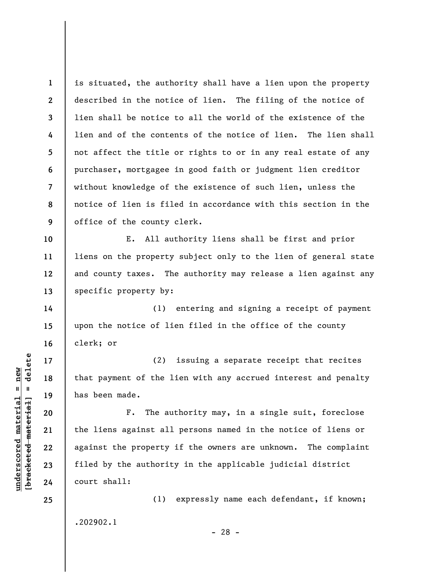**1 2 3 4 5 6 7 8 9**  is situated, the authority shall have a lien upon the property described in the notice of lien. The filing of the notice of lien shall be notice to all the world of the existence of the lien and of the contents of the notice of lien. The lien shall not affect the title or rights to or in any real estate of any purchaser, mortgagee in good faith or judgment lien creditor without knowledge of the existence of such lien, unless the notice of lien is filed in accordance with this section in the office of the county clerk.

**10 11 12 13**  E. All authority liens shall be first and prior liens on the property subject only to the lien of general state and county taxes. The authority may release a lien against any specific property by:

(1) entering and signing a receipt of payment upon the notice of lien filed in the office of the county clerk; or

(2) issuing a separate receipt that recites that payment of the lien with any accrued interest and penalty has been made.

F. The authority may, in a single suit, foreclose the liens against all persons named in the notice of liens or against the property if the owners are unknown. The complaint filed by the authority in the applicable judicial district court shall:

(1) expressly name each defendant, if known; .202902.1

 $\frac{1}{2}$  of  $\frac{1}{2}$  and  $\frac{1}{2}$  and  $\frac{1}{2}$  and  $\frac{1}{2}$  and  $\frac{1}{2}$  and  $\frac{1}{2}$  and  $\frac{1}{2}$  and  $\frac{1}{2}$  and  $\frac{1}{2}$  and  $\frac{1}{2}$  and  $\frac{1}{2}$  and  $\frac{1}{2}$  and  $\frac{1}{2}$  and  $\frac{1}{2}$  and  $\frac{1}{2}$  an **[bracketed material] = delete**  $underscored material = new$ **underscored material = new**

**14** 

**15** 

**16** 

**17** 

**18** 

**19** 

**20** 

**21** 

**22** 

**23** 

**24**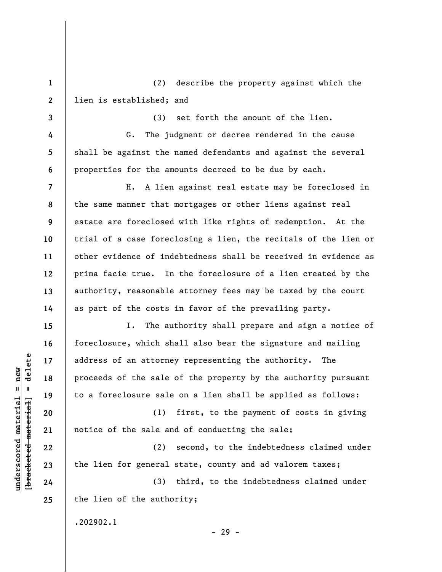**1 2**  (2) describe the property against which the lien is established; and

(3) set forth the amount of the lien. G. The judgment or decree rendered in the cause shall be against the named defendants and against the several properties for the amounts decreed to be due by each.

H. A lien against real estate may be foreclosed in the same manner that mortgages or other liens against real estate are foreclosed with like rights of redemption. At the trial of a case foreclosing a lien, the recitals of the lien or other evidence of indebtedness shall be received in evidence as prima facie true. In the foreclosure of a lien created by the authority, reasonable attorney fees may be taxed by the court as part of the costs in favor of the prevailing party.

I. The authority shall prepare and sign a notice of foreclosure, which shall also bear the signature and mailing address of an attorney representing the authority. The proceeds of the sale of the property by the authority pursuant to a foreclosure sale on a lien shall be applied as follows:

(1) first, to the payment of costs in giving notice of the sale and of conducting the sale;

(2) second, to the indebtedness claimed under the lien for general state, county and ad valorem taxes;

(3) third, to the indebtedness claimed under the lien of the authority;

.202902.1

 $\frac{1}{2}$  intereted material = delete **[bracketed material] = delete**  $underscored material = new$ **underscored material = new**

**3** 

**4** 

**5** 

**6** 

**7** 

**8** 

**9** 

**10** 

**11** 

**12** 

**13** 

**14** 

**15** 

**16** 

**17** 

**18** 

**19** 

**20** 

**21** 

**22** 

**23** 

**24** 

**25** 

- 29 -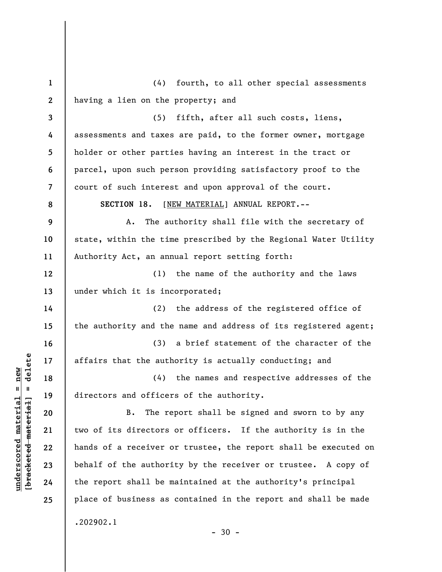**1 2 3 4 5 6 7 8 9 10 11 12 13 14 15 16 17 18 19 20 21 22 23 24 25**  (4) fourth, to all other special assessments having a lien on the property; and (5) fifth, after all such costs, liens, assessments and taxes are paid, to the former owner, mortgage holder or other parties having an interest in the tract or parcel, upon such person providing satisfactory proof to the court of such interest and upon approval of the court. **SECTION 18.** [NEW MATERIAL] ANNUAL REPORT.-- A. The authority shall file with the secretary of state, within the time prescribed by the Regional Water Utility Authority Act, an annual report setting forth: (1) the name of the authority and the laws under which it is incorporated; (2) the address of the registered office of the authority and the name and address of its registered agent; (3) a brief statement of the character of the affairs that the authority is actually conducting; and (4) the names and respective addresses of the directors and officers of the authority. B. The report shall be signed and sworn to by any two of its directors or officers. If the authority is in the hands of a receiver or trustee, the report shall be executed on behalf of the authority by the receiver or trustee. A copy of the report shall be maintained at the authority's principal place of business as contained in the report and shall be made .202902.1

 $\frac{1}{2}$  of  $\frac{1}{2}$  and  $\frac{1}{2}$  and  $\frac{1}{2}$  and  $\frac{1}{2}$  and  $\frac{1}{2}$  and  $\frac{1}{2}$  and  $\frac{1}{2}$  and  $\frac{1}{2}$  and  $\frac{1}{2}$  and  $\frac{1}{2}$  and  $\frac{1}{2}$  and  $\frac{1}{2}$  and  $\frac{1}{2}$  and  $\frac{1}{2}$  and  $\frac{1}{2}$  an **[bracketed material] = delete**  $underscored material = new$ **underscored material = new**

 $-30 -$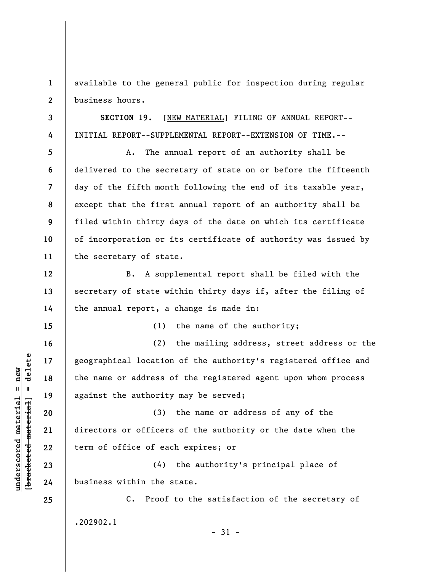**1 2**  available to the general public for inspection during regular business hours.

**SECTION 19.** [NEW MATERIAL] FILING OF ANNUAL REPORT-- INITIAL REPORT--SUPPLEMENTAL REPORT--EXTENSION OF TIME.--

**5 6 7 8 9 10 11**  A. The annual report of an authority shall be delivered to the secretary of state on or before the fifteenth day of the fifth month following the end of its taxable year, except that the first annual report of an authority shall be filed within thirty days of the date on which its certificate of incorporation or its certificate of authority was issued by the secretary of state.

B. A supplemental report shall be filed with the secretary of state within thirty days if, after the filing of the annual report, a change is made in:

(1) the name of the authority;

(2) the mailing address, street address or the geographical location of the authority's registered office and the name or address of the registered agent upon whom process against the authority may be served;

(3) the name or address of any of the directors or officers of the authority or the date when the term of office of each expires; or

(4) the authority's principal place of business within the state.

C. Proof to the satisfaction of the secretary of .202902.1

 $\frac{1}{2}$  intereted material = delete **[bracketed material] = delete**  $underscored material = new$ **underscored material = new**

**3** 

**4** 

**12** 

**13** 

**14** 

**15** 

**16** 

**17** 

**18** 

**19** 

**20** 

**21** 

**22** 

**23** 

**24** 

**25** 

 $-31 -$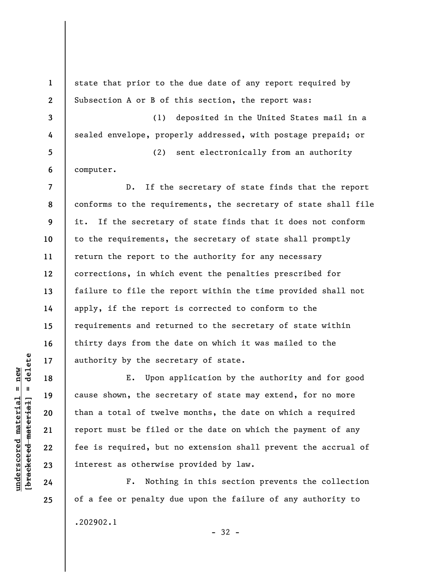**1 2** 

**3** 

**4** 

**5** 

**6** 

**7** 

**8** 

**9** 

**10** 

**11** 

**12** 

**13** 

**14** 

**15** 

**16** 

**17** 

**18** 

**19** 

**20** 

**21** 

**22** 

**23** 

**24** 

**25** 

state that prior to the due date of any report required by Subsection A or B of this section, the report was:

(1) deposited in the United States mail in a sealed envelope, properly addressed, with postage prepaid; or

(2) sent electronically from an authority computer.

D. If the secretary of state finds that the report conforms to the requirements, the secretary of state shall file it. If the secretary of state finds that it does not conform to the requirements, the secretary of state shall promptly return the report to the authority for any necessary corrections, in which event the penalties prescribed for failure to file the report within the time provided shall not apply, if the report is corrected to conform to the requirements and returned to the secretary of state within thirty days from the date on which it was mailed to the authority by the secretary of state.

E. Upon application by the authority and for good cause shown, the secretary of state may extend, for no more than a total of twelve months, the date on which a required report must be filed or the date on which the payment of any fee is required, but no extension shall prevent the accrual of interest as otherwise provided by law.

F. Nothing in this section prevents the collection of a fee or penalty due upon the failure of any authority to .202902.1 - 32 -

 $b$ racketed material] = delete **[bracketed material] = delete**  $underscored material = new$ **underscored material = new**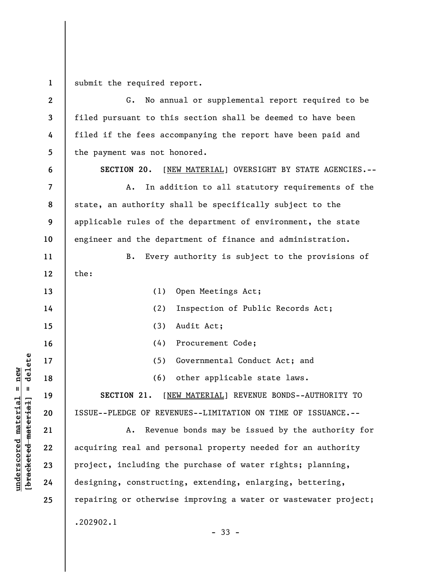**1**  submit the required report.

**2 3 4 5 6 7 8 9 10 11 12 13 14 15 16 17 18 19 20 21 22 23 24 25**  G. No annual or supplemental report required to be filed pursuant to this section shall be deemed to have been filed if the fees accompanying the report have been paid and the payment was not honored. **SECTION 20.** [NEW MATERIAL] OVERSIGHT BY STATE AGENCIES.-- A. In addition to all statutory requirements of the state, an authority shall be specifically subject to the applicable rules of the department of environment, the state engineer and the department of finance and administration. B. Every authority is subject to the provisions of the: (1) Open Meetings Act; (2) Inspection of Public Records Act; (3) Audit Act; (4) Procurement Code; (5) Governmental Conduct Act; and (6) other applicable state laws. **SECTION 21.** [NEW MATERIAL] REVENUE BONDS--AUTHORITY TO ISSUE--PLEDGE OF REVENUES--LIMITATION ON TIME OF ISSUANCE.-- A. Revenue bonds may be issued by the authority for acquiring real and personal property needed for an authority project, including the purchase of water rights; planning, designing, constructing, extending, enlarging, bettering, repairing or otherwise improving a water or wastewater project; .202902.1 - 33 -

 $\frac{1}{2}$  of  $\frac{1}{2}$  and  $\frac{1}{2}$  and  $\frac{1}{2}$  and  $\frac{1}{2}$  and  $\frac{1}{2}$  and  $\frac{1}{2}$  and  $\frac{1}{2}$  and  $\frac{1}{2}$  and  $\frac{1}{2}$  and  $\frac{1}{2}$  and  $\frac{1}{2}$  and  $\frac{1}{2}$  and  $\frac{1}{2}$  and  $\frac{1}{2}$  and  $\frac{1}{2}$  an **[bracketed material] = delete**  $underscored material = new$ **underscored material = new**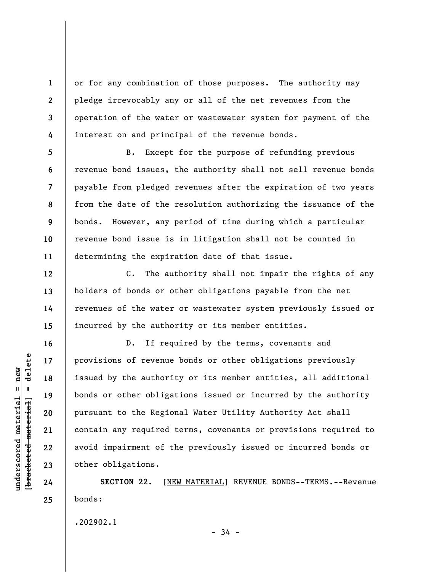or for any combination of those purposes. The authority may pledge irrevocably any or all of the net revenues from the operation of the water or wastewater system for payment of the interest on and principal of the revenue bonds.

B. Except for the purpose of refunding previous revenue bond issues, the authority shall not sell revenue bonds payable from pledged revenues after the expiration of two years from the date of the resolution authorizing the issuance of the bonds. However, any period of time during which a particular revenue bond issue is in litigation shall not be counted in determining the expiration date of that issue.

C. The authority shall not impair the rights of any holders of bonds or other obligations payable from the net revenues of the water or wastewater system previously issued or incurred by the authority or its member entities.

D. If required by the terms, covenants and provisions of revenue bonds or other obligations previously issued by the authority or its member entities, all additional bonds or other obligations issued or incurred by the authority pursuant to the Regional Water Utility Authority Act shall contain any required terms, covenants or provisions required to avoid impairment of the previously issued or incurred bonds or other obligations.

**SECTION 22.** [NEW MATERIAL] REVENUE BONDS--TERMS.--Revenue bonds:

.202902.1

 $-34 -$ 

 $\frac{1}{2}$  intereted material = delete **[bracketed material] = delete**  $underscored material = new$ **underscored material = new**

**1** 

**2** 

**3** 

**4** 

**5** 

**6** 

**7** 

**8** 

**9** 

**10** 

**11** 

**12** 

**13** 

**14** 

**15** 

**16** 

**17** 

**18** 

**19** 

**20** 

**21** 

**22** 

**23** 

**24**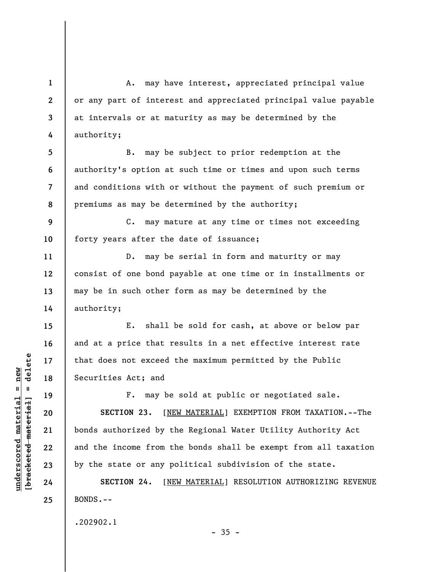A. may have interest, appreciated principal value or any part of interest and appreciated principal value payable at intervals or at maturity as may be determined by the authority;

**5 6 7 8**  B. may be subject to prior redemption at the authority's option at such time or times and upon such terms and conditions with or without the payment of such premium or premiums as may be determined by the authority;

**9 10**  C. may mature at any time or times not exceeding forty years after the date of issuance;

D. may be serial in form and maturity or may consist of one bond payable at one time or in installments or may be in such other form as may be determined by the authority;

E. shall be sold for cash, at above or below par and at a price that results in a net effective interest rate that does not exceed the maximum permitted by the Public Securities Act; and

F. may be sold at public or negotiated sale. **SECTION 23.** [NEW MATERIAL] EXEMPTION FROM TAXATION.--The bonds authorized by the Regional Water Utility Authority Act and the income from the bonds shall be exempt from all taxation by the state or any political subdivision of the state.

**SECTION 24.** [NEW MATERIAL] RESOLUTION AUTHORIZING REVENUE BONDS.--

 $-35 -$ 

.202902.1

 $\frac{1}{2}$  intereted material = delete **[bracketed material] = delete**  $underscored material = new$ **underscored material = new**

**1** 

**2** 

**3** 

**4** 

**11** 

**12** 

**13** 

**14** 

**15** 

**16** 

**17** 

**18** 

**19** 

**20** 

**21** 

**22** 

**23** 

**24**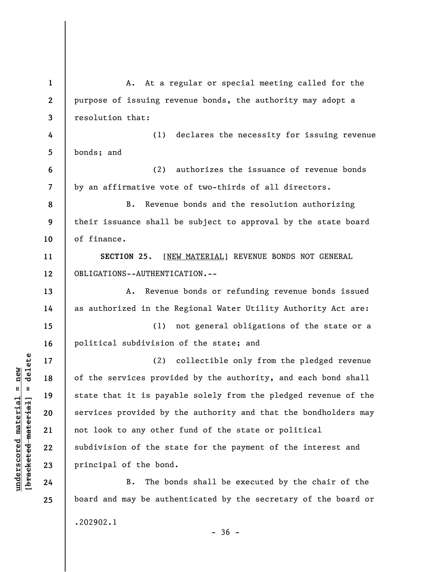| $\mathbf{1}$ | A. At a regular or special meeting called for the               |
|--------------|-----------------------------------------------------------------|
| $\mathbf{2}$ | purpose of issuing revenue bonds, the authority may adopt a     |
| 3            | resolution that:                                                |
| 4            | declares the necessity for issuing revenue<br>(1)               |
| 5            | bonds; and                                                      |
| 6            | (2)<br>authorizes the issuance of revenue bonds                 |
| 7            | by an affirmative vote of two-thirds of all directors.          |
| 8            | Revenue bonds and the resolution authorizing<br>В.              |
| 9            | their issuance shall be subject to approval by the state board  |
| 10           | of finance.                                                     |
| 11           | SECTION 25.<br>[NEW MATERIAL] REVENUE BONDS NOT GENERAL         |
| 12           | OBLIGATIONS--AUTHENTICATION.--                                  |
| 13           | Revenue bonds or refunding revenue bonds issued<br>Α.           |
| 14           | as authorized in the Regional Water Utility Authority Act are:  |
| 15           | not general obligations of the state or a<br>(1)                |
| 16           | political subdivision of the state; and                         |
| 17           | collectible only from the pledged revenue<br>(2)                |
| 18           | of the services provided by the authority, and each bond shall  |
| 19           | state that it is payable solely from the pledged revenue of the |
| 20           | services provided by the authority and that the bondholders may |
| 21           | not look to any other fund of the state or political            |
| 22           | subdivision of the state for the payment of the interest and    |
| 23           | principal of the bond.                                          |
| 24           | The bonds shall be executed by the chair of the<br><b>B.</b>    |
| 25           | board and may be authenticated by the secretary of the board or |
|              | .202902.1                                                       |

**underscored material = new [bracketed material] = delete**

 $[**bracket**et~~eted matcherial~~] = **delete**$  $underscored material = new$ 

- 36 -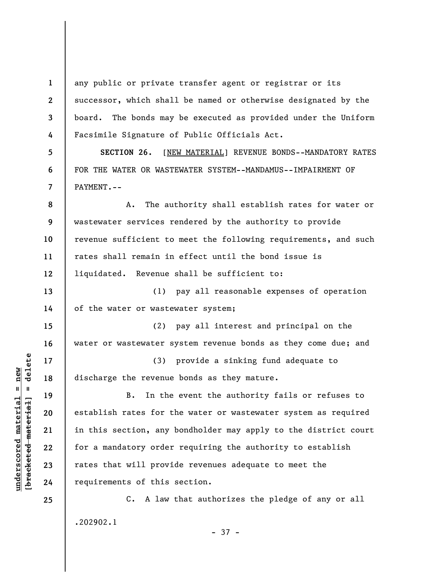any public or private transfer agent or registrar or its successor, which shall be named or otherwise designated by the board. The bonds may be executed as provided under the Uniform Facsimile Signature of Public Officials Act.

**SECTION 26.** [NEW MATERIAL] REVENUE BONDS--MANDATORY RATES FOR THE WATER OR WASTEWATER SYSTEM--MANDAMUS--IMPAIRMENT OF PAYMENT.--

**8 9 10 11 12**  A. The authority shall establish rates for water or wastewater services rendered by the authority to provide revenue sufficient to meet the following requirements, and such rates shall remain in effect until the bond issue is liquidated. Revenue shall be sufficient to:

(1) pay all reasonable expenses of operation of the water or wastewater system;

(2) pay all interest and principal on the water or wastewater system revenue bonds as they come due; and

(3) provide a sinking fund adequate to discharge the revenue bonds as they mature.

B. In the event the authority fails or refuses to establish rates for the water or wastewater system as required in this section, any bondholder may apply to the district court for a mandatory order requiring the authority to establish rates that will provide revenues adequate to meet the requirements of this section.

C. A law that authorizes the pledge of any or all .202902.1 - 37 -

 $\frac{1}{2}$  intereted material = delete **[bracketed material] = delete**  $underscored material = new$ **underscored material = new**

**25** 

**1** 

**2** 

**3** 

**4** 

**5** 

**6** 

**7** 

**13** 

**14** 

**15** 

**16** 

**17** 

**18** 

**19** 

**20** 

**21** 

**22** 

**23**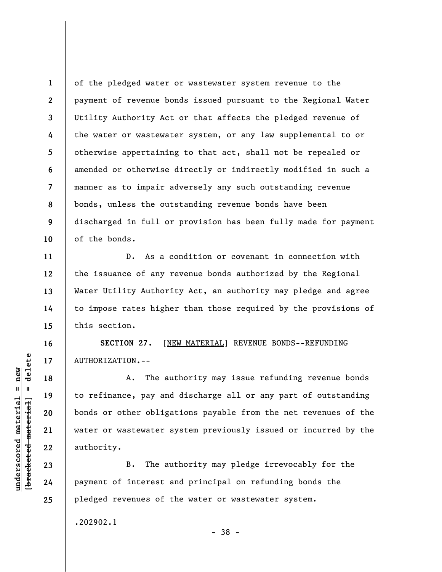**1 2 3 4 5 6 7 8 9 10**  of the pledged water or wastewater system revenue to the payment of revenue bonds issued pursuant to the Regional Water Utility Authority Act or that affects the pledged revenue of the water or wastewater system, or any law supplemental to or otherwise appertaining to that act, shall not be repealed or amended or otherwise directly or indirectly modified in such a manner as to impair adversely any such outstanding revenue bonds, unless the outstanding revenue bonds have been discharged in full or provision has been fully made for payment of the bonds.

D. As a condition or covenant in connection with the issuance of any revenue bonds authorized by the Regional Water Utility Authority Act, an authority may pledge and agree to impose rates higher than those required by the provisions of this section.

**SECTION 27.** [NEW MATERIAL] REVENUE BONDS--REFUNDING AUTHORIZATION.--

A. The authority may issue refunding revenue bonds to refinance, pay and discharge all or any part of outstanding bonds or other obligations payable from the net revenues of the water or wastewater system previously issued or incurred by the authority.

B. The authority may pledge irrevocably for the payment of interest and principal on refunding bonds the pledged revenues of the water or wastewater system.

.202902.1

 $b$ racketed material] = delete **[bracketed material] = delete**  $underscored material = new$ **underscored material = new**

**11** 

**12** 

**13** 

**14** 

**15** 

**16** 

**17** 

**18** 

**19** 

**20** 

**21** 

**22** 

**23** 

**24** 

**25** 

- 38 -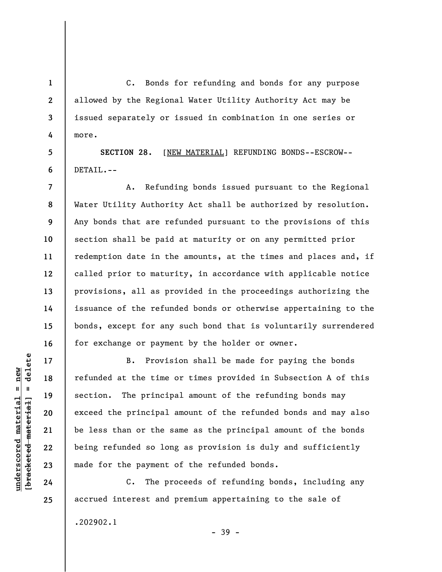C. Bonds for refunding and bonds for any purpose allowed by the Regional Water Utility Authority Act may be issued separately or issued in combination in one series or more.

**5 6 SECTION 28.** [NEW MATERIAL] REFUNDING BONDS--ESCROW-- DETAIL.--

**8**  A. Refunding bonds issued pursuant to the Regional Water Utility Authority Act shall be authorized by resolution. Any bonds that are refunded pursuant to the provisions of this section shall be paid at maturity or on any permitted prior redemption date in the amounts, at the times and places and, if called prior to maturity, in accordance with applicable notice provisions, all as provided in the proceedings authorizing the issuance of the refunded bonds or otherwise appertaining to the bonds, except for any such bond that is voluntarily surrendered for exchange or payment by the holder or owner.

B. Provision shall be made for paying the bonds refunded at the time or times provided in Subsection A of this section. The principal amount of the refunding bonds may exceed the principal amount of the refunded bonds and may also be less than or the same as the principal amount of the bonds being refunded so long as provision is duly and sufficiently made for the payment of the refunded bonds.

C. The proceeds of refunding bonds, including any accrued interest and premium appertaining to the sale of .202902.1 - 39 -

 $\frac{1}{2}$  intereted material = delete **[bracketed material] = delete**  $underscored material = new$ **underscored material = new**

**1** 

**2** 

**3** 

**4** 

**7** 

**9** 

**10** 

**11** 

**12** 

**13** 

**14** 

**15** 

**16** 

**17** 

**18** 

**19** 

**20** 

**21** 

**22** 

**23** 

**24**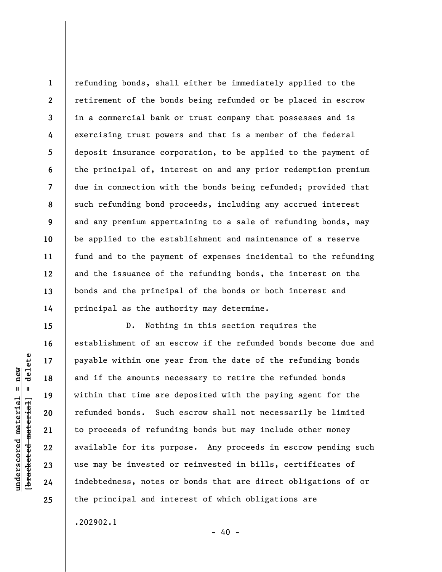refunding bonds, shall either be immediately applied to the retirement of the bonds being refunded or be placed in escrow in a commercial bank or trust company that possesses and is exercising trust powers and that is a member of the federal deposit insurance corporation, to be applied to the payment of the principal of, interest on and any prior redemption premium due in connection with the bonds being refunded; provided that such refunding bond proceeds, including any accrued interest and any premium appertaining to a sale of refunding bonds, may be applied to the establishment and maintenance of a reserve fund and to the payment of expenses incidental to the refunding and the issuance of the refunding bonds, the interest on the bonds and the principal of the bonds or both interest and principal as the authority may determine.

D. Nothing in this section requires the establishment of an escrow if the refunded bonds become due and payable within one year from the date of the refunding bonds and if the amounts necessary to retire the refunded bonds within that time are deposited with the paying agent for the refunded bonds. Such escrow shall not necessarily be limited to proceeds of refunding bonds but may include other money available for its purpose. Any proceeds in escrow pending such use may be invested or reinvested in bills, certificates of indebtedness, notes or bonds that are direct obligations of or the principal and interest of which obligations are

 $\frac{1}{2}$  of  $\frac{1}{2}$  and  $\frac{1}{2}$  and  $\frac{1}{2}$  and  $\frac{1}{2}$  and  $\frac{1}{2}$  and  $\frac{1}{2}$  and  $\frac{1}{2}$  and  $\frac{1}{2}$  and  $\frac{1}{2}$  and  $\frac{1}{2}$  and  $\frac{1}{2}$  and  $\frac{1}{2}$  and  $\frac{1}{2}$  and  $\frac{1}{2}$  and  $\frac{1}{2}$  an **[bracketed material] = delete**  $underscored material = new$ **underscored material = new**

**1** 

**2** 

**3** 

**4** 

**5** 

**6** 

**7** 

**8** 

**9** 

**10** 

**11** 

**12** 

**13** 

**14** 

**15** 

**16** 

**17** 

**18** 

**19** 

**20** 

**21** 

**22** 

**23** 

**24** 

**25** 

.202902.1

 $- 40 -$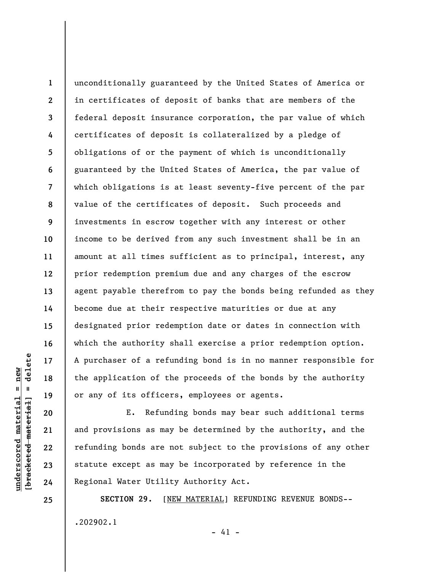**1 2 3 4 5 6 7 8 9 10 11 12 13 14 15 16 17 18 19**  unconditionally guaranteed by the United States of America or in certificates of deposit of banks that are members of the federal deposit insurance corporation, the par value of which certificates of deposit is collateralized by a pledge of obligations of or the payment of which is unconditionally guaranteed by the United States of America, the par value of which obligations is at least seventy-five percent of the par value of the certificates of deposit. Such proceeds and investments in escrow together with any interest or other income to be derived from any such investment shall be in an amount at all times sufficient as to principal, interest, any prior redemption premium due and any charges of the escrow agent payable therefrom to pay the bonds being refunded as they become due at their respective maturities or due at any designated prior redemption date or dates in connection with which the authority shall exercise a prior redemption option. A purchaser of a refunding bond is in no manner responsible for the application of the proceeds of the bonds by the authority or any of its officers, employees or agents.

E. Refunding bonds may bear such additional terms and provisions as may be determined by the authority, and the refunding bonds are not subject to the provisions of any other statute except as may be incorporated by reference in the Regional Water Utility Authority Act.

**SECTION 29.** [NEW MATERIAL] REFUNDING REVENUE BONDS-- .202902.1

delete **[bracketed material] = delete**  $underscored material = new$ **underscored material = new**  $\mathbf{I}$ bracketed material

**25** 

**20** 

**21** 

**22** 

**23**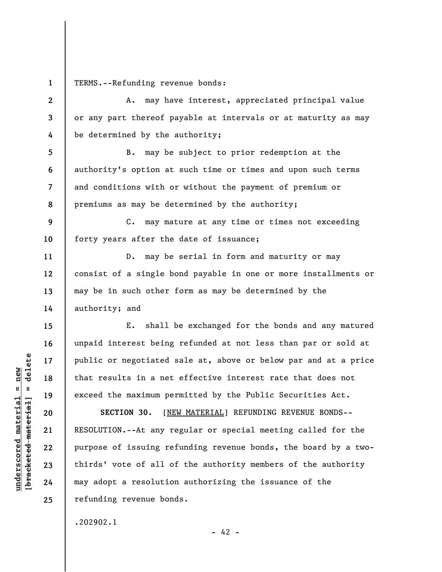**1**  TERMS.--Refunding revenue bonds:

**2** 

**3** 

**4** 

**5** 

**6** 

**7** 

**11** 

**12** 

**13** 

**14** 

**15** 

**16** 

**17** 

**18** 

**19** 

**20** 

**21** 

**22** 

**23** 

**24** 

**25** 

A. may have interest, appreciated principal value or any part thereof payable at intervals or at maturity as may be determined by the authority;

**8**  B. may be subject to prior redemption at the authority's option at such time or times and upon such terms and conditions with or without the payment of premium or premiums as may be determined by the authority;

**9 10**  C. may mature at any time or times not exceeding forty years after the date of issuance;

D. may be serial in form and maturity or may consist of a single bond payable in one or more installments or may be in such other form as may be determined by the authority; and

E. shall be exchanged for the bonds and any matured unpaid interest being refunded at not less than par or sold at public or negotiated sale at, above or below par and at a price that results in a net effective interest rate that does not exceed the maximum permitted by the Public Securities Act.

**SECTION 30.** [NEW MATERIAL] REFUNDING REVENUE BONDS-- RESOLUTION.--At any regular or special meeting called for the purpose of issuing refunding revenue bonds, the board by a twothirds' vote of all of the authority members of the authority may adopt a resolution authorizing the issuance of the refunding revenue bonds.

.202902.1

 $\frac{1}{2}$  of  $\frac{1}{2}$  and  $\frac{1}{2}$  and  $\frac{1}{2}$  and  $\frac{1}{2}$  and  $\frac{1}{2}$  and  $\frac{1}{2}$  and  $\frac{1}{2}$  and  $\frac{1}{2}$  and  $\frac{1}{2}$  and  $\frac{1}{2}$  and  $\frac{1}{2}$  and  $\frac{1}{2}$  and  $\frac{1}{2}$  and  $\frac{1}{2}$  and  $\frac{1}{2}$  an **[bracketed material] = delete**  $underscored material = new$ **underscored material = new**

 $- 42 -$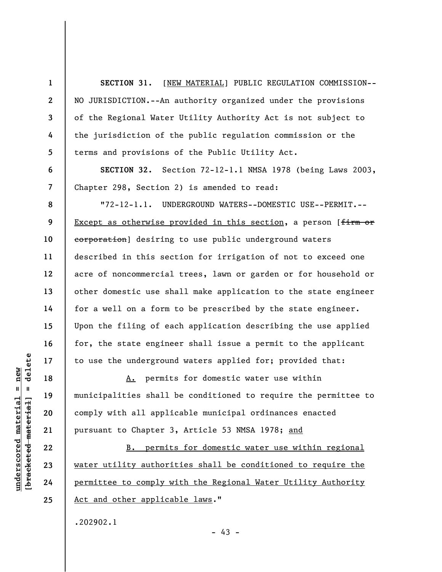**SECTION 31.** [NEW MATERIAL] PUBLIC REGULATION COMMISSION-- NO JURISDICTION.--An authority organized under the provisions of the Regional Water Utility Authority Act is not subject to the jurisdiction of the public regulation commission or the terms and provisions of the Public Utility Act.

**SECTION 32.** Section 72-12-1.1 NMSA 1978 (being Laws 2003, Chapter 298, Section 2) is amended to read:

"72-12-1.1. UNDERGROUND WATERS--DOMESTIC USE--PERMIT.-- Except as otherwise provided in this section, a person [firm or corporation] desiring to use public underground waters described in this section for irrigation of not to exceed one acre of noncommercial trees, lawn or garden or for household or other domestic use shall make application to the state engineer for a well on a form to be prescribed by the state engineer. Upon the filing of each application describing the use applied for, the state engineer shall issue a permit to the applicant to use the underground waters applied for; provided that:

A. permits for domestic water use within municipalities shall be conditioned to require the permittee to comply with all applicable municipal ordinances enacted pursuant to Chapter 3, Article 53 NMSA 1978; and

B. permits for domestic water use within regional water utility authorities shall be conditioned to require the permittee to comply with the Regional Water Utility Authority Act and other applicable laws."

 $- 43 -$ 

.202902.1

 $=$  delete **[bracketed material] = delete**  $anderscored material = new$ **underscored material = new** bracketed material

**1** 

**2** 

**3** 

**4** 

**5** 

**6** 

**7** 

**8** 

**9** 

**10** 

**11** 

**12** 

**13** 

**14** 

**15** 

**16** 

**17** 

**18** 

**19** 

**20** 

**21** 

**22** 

**23** 

**24**